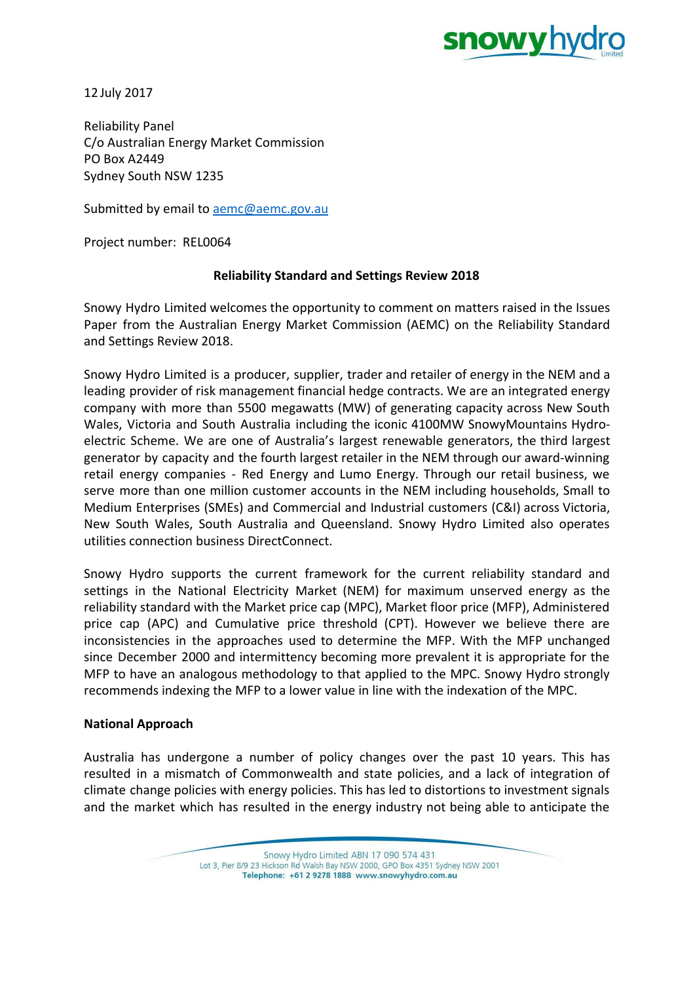

12 July 2017

Reliability Panel C/o Australian Energy Market Commission PO Box A2449 Sydney South NSW 1235

Submitted by email to **aemc@aemc.gov.au** 

Project number: REL0064

## **Reliability Standard and Settings Review 2018**

Snowy Hydro Limited welcomes the opportunity to comment on matters raised in the Issues Paper from the Australian Energy Market Commission (AEMC) on the Reliability Standard and Settings Review 2018.

Snowy Hydro Limited is a producer, supplier, trader and retailer of energy in the NEM and a leading provider of risk management financial hedge contracts. We are an integrated energy company with more than 5500 megawatts (MW) of generating capacity across New South Wales, Victoria and South Australia including the iconic 4100MW SnowyMountains Hydroelectric Scheme. We are one of Australia's largest renewable generators, the third largest generator by capacity and the fourth largest retailer in the NEM through our award-winning retail energy companies - Red Energy and Lumo Energy. Through our retail business, we serve more than one million customer accounts in the NEM including households, Small to Medium Enterprises (SMEs) and Commercial and Industrial customers (C&I) across Victoria, New South Wales, South Australia and Queensland. Snowy Hydro Limited also operates utilities connection business DirectConnect.

Snowy Hydro supports the current framework for the current reliability standard and settings in the National Electricity Market (NEM) for maximum unserved energy as the reliability standard with the Market price cap (MPC), Market floor price (MFP), Administered price cap (APC) and Cumulative price threshold (CPT). However we believe there are inconsistencies in the approaches used to determine the MFP. With the MFP unchanged since December 2000 and intermittency becoming more prevalent it is appropriate for the MFP to have an analogous methodology to that applied to the MPC. Snowy Hydro strongly recommends indexing the MFP to a lower value in line with the indexation of the MPC.

### **National Approach**

Australia has undergone a number of policy changes over the past 10 years. This has resulted in a mismatch of Commonwealth and state policies, and a lack of integration of climate change policies with energy policies. This has led to distortions to investment signals and the market which has resulted in the energy industry not being able to anticipate the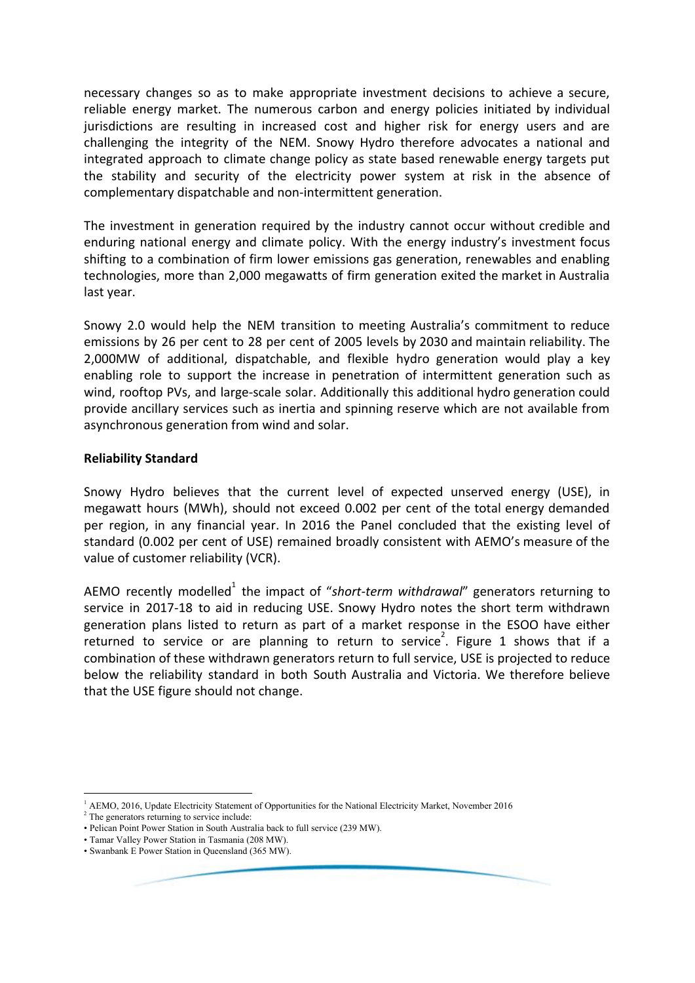necessary changes so as to make appropriate investment decisions to achieve a secure, reliable energy market. The numerous carbon and energy policies initiated by individual jurisdictions are resulting in increased cost and higher risk for energy users and are challenging the integrity of the NEM. Snowy Hydro therefore advocates a national and integrated approach to climate change policy as state based renewable energy targets put the stability and security of the electricity power system at risk in the absence of complementary dispatchable and non-intermittent generation.

The investment in generation required by the industry cannot occur without credible and enduring national energy and climate policy. With the energy industry's investment focus shifting to a combination of firm lower emissions gas generation, renewables and enabling technologies, more than 2,000 megawatts of firm generation exited the market in Australia last year.

Snowy 2.0 would help the NEM transition to meeting Australia's commitment to reduce emissions by 26 per cent to 28 per cent of 2005 levels by 2030 and maintain reliability. The 2,000MW of additional, dispatchable, and flexible hydro generation would play a key enabling role to support the increase in penetration of intermittent generation such as wind, rooftop PVs, and large-scale solar. Additionally this additional hydro generation could provide ancillary services such as inertia and spinning reserve which are not available from asynchronous generation from wind and solar.

### **Reliability Standard**

Snowy Hydro believes that the current level of expected unserved energy (USE), in megawatt hours (MWh), should not exceed 0.002 per cent of the total energy demanded per region, in any financial year. In 2016 the Panel concluded that the existing level of standard (0.002 per cent of USE) remained broadly consistent with AEMO's measure of the value of customer reliability (VCR).

AEMO recently modelled<sup>1</sup> the impact of "short-term withdrawal" generators returning to service in 2017-18 to aid in reducing USE. Snowy Hydro notes the short term withdrawn generation plans listed to return as part of a market response in the ESOO have either returned to service or are planning to return to service<sup>2</sup>. Figure 1 shows that if a combination of these withdrawn generators return to full service, USE is projected to reduce below the reliability standard in both South Australia and Victoria. We therefore believe that the USE figure should not change.

<sup>1</sup> AEMO, 2016, Update Electricity Statement of Opportunities for the National Electricity Market, November 2016 <sup>2</sup> The generators returning to service include:

<sup>•</sup> Pelican Point Power Station in South Australia back to full service (239 MW).

<sup>•</sup> Tamar Valley Power Station in Tasmania (208 MW).

<sup>•</sup> Swanbank E Power Station in Queensland (365 MW).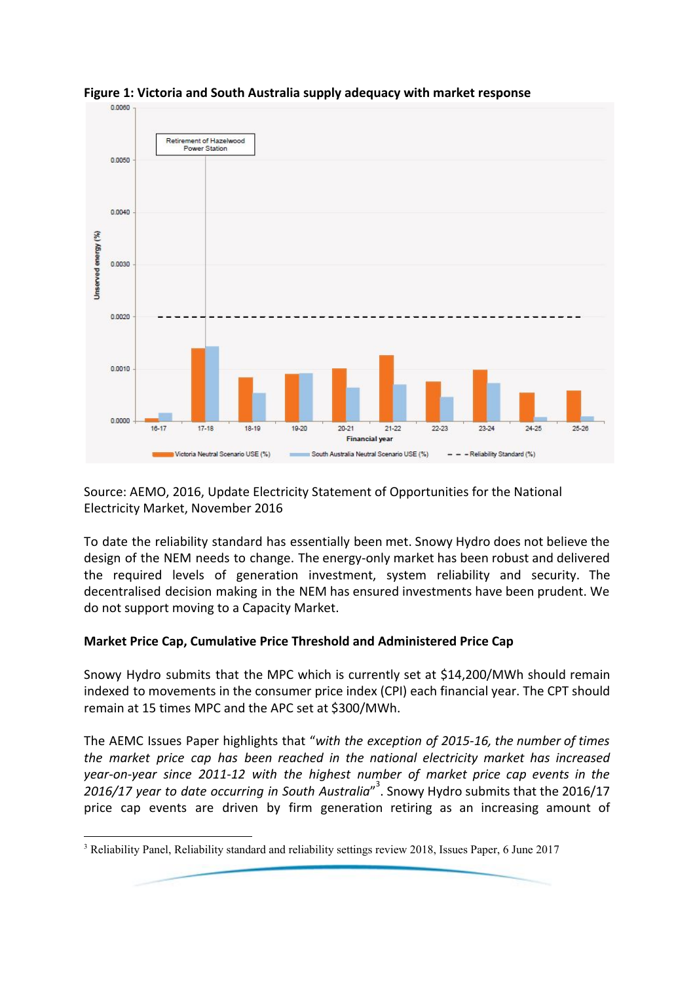

**Figure 1: Victoria and South Australia supply adequacy with market response**

Source: AEMO, 2016, Update Electricity Statement of Opportunities for the National Electricity Market, November 2016

To date the reliability standard has essentially been met. Snowy Hydro does not believe the design of the NEM needs to change. The energy-only market has been robust and delivered the required levels of generation investment, system reliability and security. The decentralised decision making in the NEM has ensured investments have been prudent. We do not support moving to a Capacity Market.

# **Market Price Cap, Cumulative Price Threshold and Administered Price Cap**

Snowy Hydro submits that the MPC which is currently set at \$14,200/MWh should remain indexed to movements in the consumer price index (CPI) each financial year. The CPT should remain at 15 times MPC and the APC set at \$300/MWh.

The AEMC Issues Paper highlights that "*with the exception of 2015-16, the number of times the market price cap has been reached in the national electricity market has increased year-on-year since 2011-12 with the highest number of market price cap events in the 2016/17 year to date occurring in South Australia*" . Snowy Hydro submits that the 2016/17 <sup>3</sup> price cap events are driven by firm generation retiring as an increasing amount of

<sup>3</sup> Reliability Panel, Reliability standard and reliability settings review 2018, Issues Paper, 6 June 2017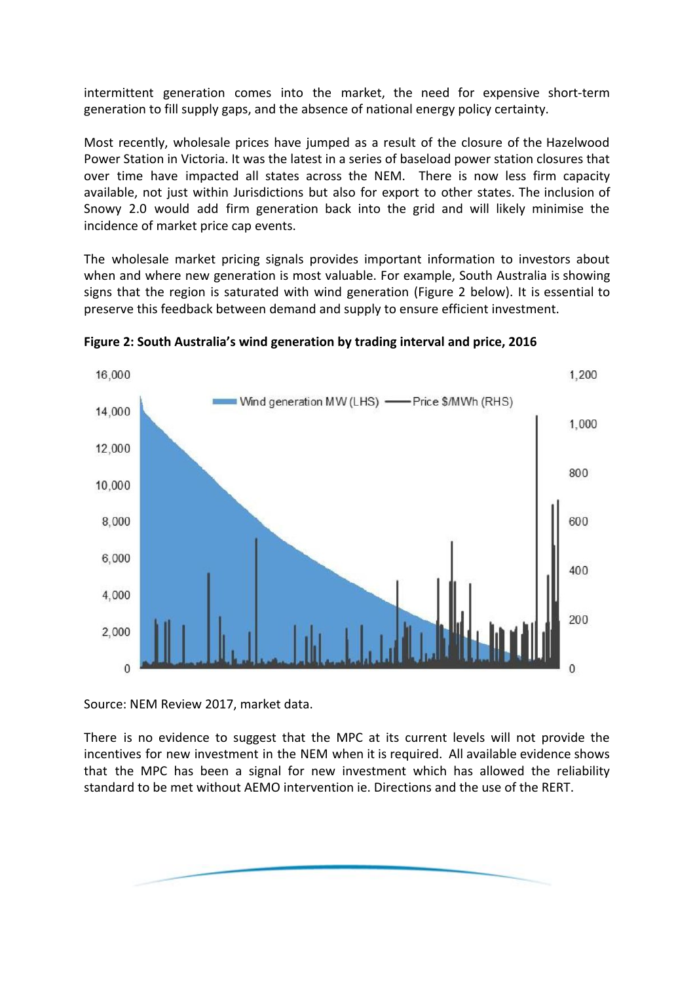intermittent generation comes into the market, the need for expensive short-term generation to fill supply gaps, and the absence of national energy policy certainty.

Most recently, wholesale prices have jumped as a result of the closure of the Hazelwood Power Station in Victoria. It was the latest in a series of baseload power station closures that over time have impacted all states across the NEM. There is now less firm capacity available, not just within Jurisdictions but also for export to other states. The inclusion of Snowy 2.0 would add firm generation back into the grid and will likely minimise the incidence of market price cap events.

The wholesale market pricing signals provides important information to investors about when and where new generation is most valuable. For example, South Australia is showing signs that the region is saturated with wind generation (Figure 2 below). It is essential to preserve this feedback between demand and supply to ensure efficient investment.



**Figure 2: South Australia's wind generation by trading interval and price, 2016**

Source: NEM Review 2017, market data.

There is no evidence to suggest that the MPC at its current levels will not provide the incentives for new investment in the NEM when it is required. All available evidence shows that the MPC has been a signal for new investment which has allowed the reliability standard to be met without AEMO intervention ie. Directions and the use of the RERT.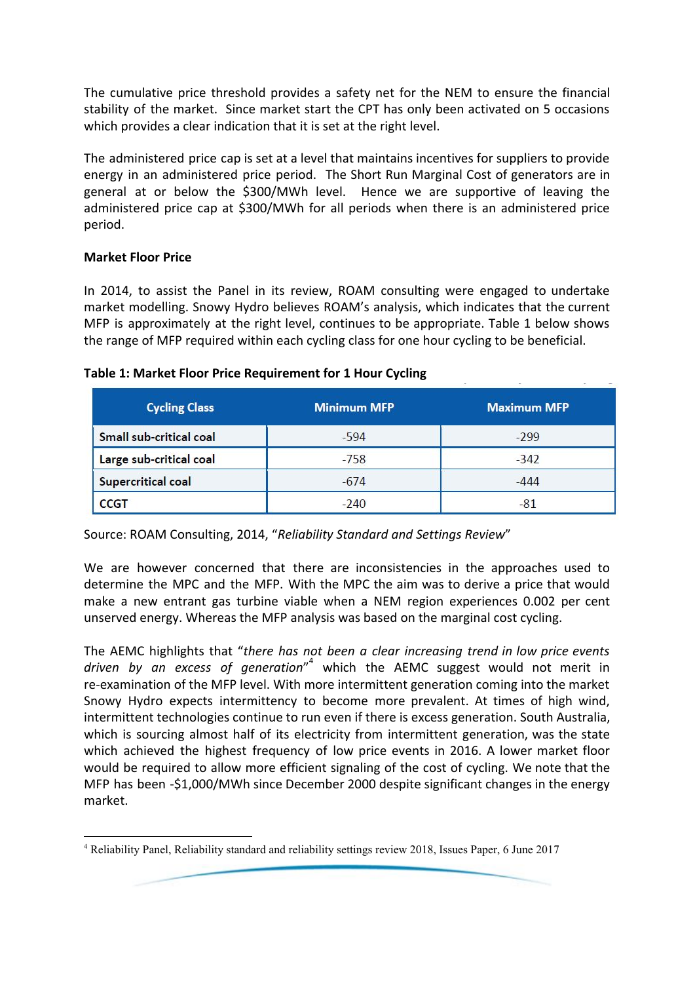The cumulative price threshold provides a safety net for the NEM to ensure the financial stability of the market. Since market start the CPT has only been activated on 5 occasions which provides a clear indication that it is set at the right level.

The administered price cap is set at a level that maintains incentives for suppliers to provide energy in an administered price period. The Short Run Marginal Cost of generators are in general at or below the \$300/MWh level. Hence we are supportive of leaving the administered price cap at \$300/MWh for all periods when there is an administered price period.

## **Market Floor Price**

In 2014, to assist the Panel in its review, ROAM consulting were engaged to undertake market modelling. Snowy Hydro believes ROAM's analysis, which indicates that the current MFP is approximately at the right level, continues to be appropriate. Table 1 below shows the range of MFP required within each cycling class for one hour cycling to be beneficial.

| <b>Cycling Class</b>    | <b>Minimum MFP</b> | <b>Maximum MFP</b> |  |  |
|-------------------------|--------------------|--------------------|--|--|
| Small sub-critical coal | $-594$             | $-299$             |  |  |
| Large sub-critical coal | $-758$             | $-342$             |  |  |
| Supercritical coal      | $-674$             | $-444$             |  |  |
| <b>CCGT</b>             | $-240$             | $-81$              |  |  |

#### **Table 1: Market Floor Price Requirement for 1 Hour Cycling**

Source: ROAM Consulting, 2014, "*Reliability Standard and Settings Review*"

We are however concerned that there are inconsistencies in the approaches used to determine the MPC and the MFP. With the MPC the aim was to derive a price that would make a new entrant gas turbine viable when a NEM region experiences 0.002 per cent unserved energy. Whereas the MFP analysis was based on the marginal cost cycling.

The AEMC highlights that "*there has not been a clear increasing trend in low price events driven by an excess of generation*" which the AEMC suggest would not merit in <sup>4</sup> re-examination of the MFP level. With more intermittent generation coming into the market Snowy Hydro expects intermittency to become more prevalent. At times of high wind, intermittent technologies continue to run even if there is excess generation. South Australia, which is sourcing almost half of its electricity from intermittent generation, was the state which achieved the highest frequency of low price events in 2016. A lower market floor would be required to allow more efficient signaling of the cost of cycling. We note that the MFP has been -\$1,000/MWh since December 2000 despite significant changes in the energy market.

<sup>4</sup> Reliability Panel, Reliability standard and reliability settings review 2018, Issues Paper, 6 June 2017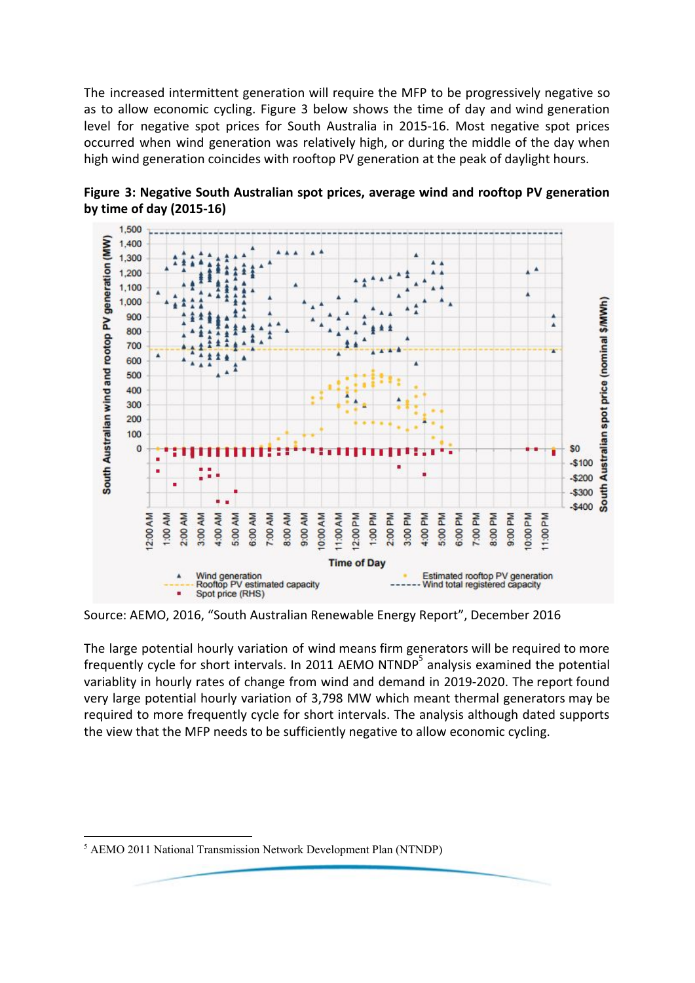The increased intermittent generation will require the MFP to be progressively negative so as to allow economic cycling. Figure 3 below shows the time of day and wind generation level for negative spot prices for South Australia in 2015-16. Most negative spot prices occurred when wind generation was relatively high, or during the middle of the day when high wind generation coincides with rooftop PV generation at the peak of daylight hours.



**Figure 3: Negative South Australian spot prices, average wind and rooftop PV generation by time of day (2015-16)**

Source: AEMO, 2016, "South Australian Renewable Energy Report", December 2016

The large potential hourly variation of wind means firm generators will be required to more frequently cycle for short intervals. In 2011 AEMO NTNDP<sup>3</sup> analysis examined the potential variablity in hourly rates of change from wind and demand in 2019-2020. The report found very large potential hourly variation of 3,798 MW which meant thermal generators may be required to more frequently cycle for short intervals. The analysis although dated supports the view that the MFP needs to be sufficiently negative to allow economic cycling.

<sup>5</sup> AEMO 2011 National Transmission Network Development Plan (NTNDP)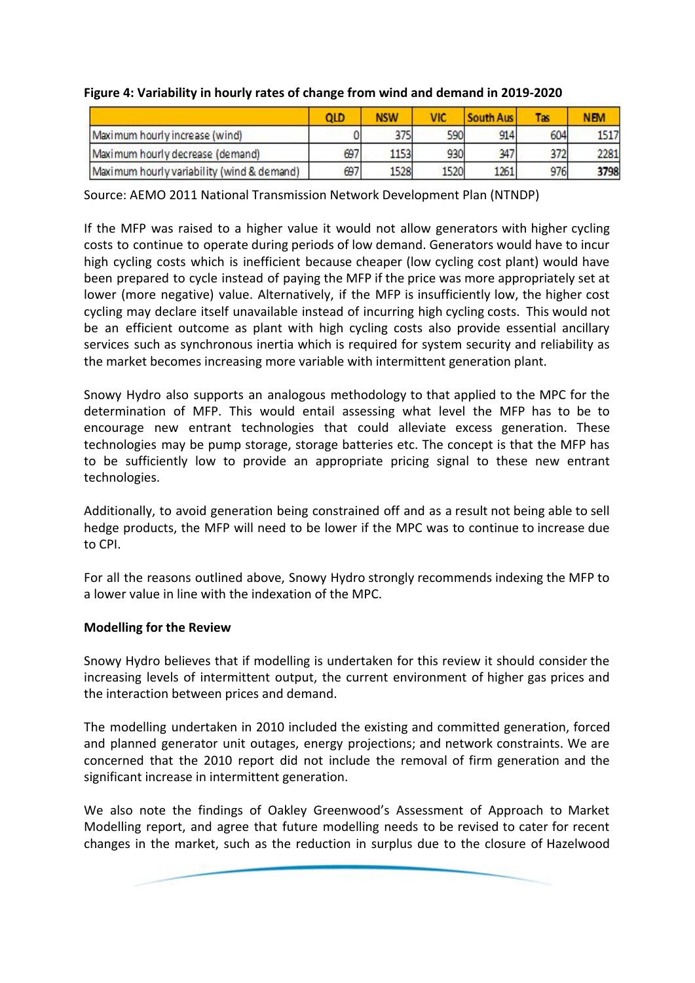|                                            | QLD | <b>NSW</b> |      | South Aus | Tas | <b>NEM</b> |
|--------------------------------------------|-----|------------|------|-----------|-----|------------|
| Maximum hourly increase (wind)             |     | 375        | 590  | 914       | 604 | 1517       |
| Maximum hourly decrease (demand)           | 697 | 1153       | 930  | 347       | 372 | 2281       |
| Maximum hourly variability (wind & demand) | 697 | 1528       | 1520 | 1261      | 976 | 3798       |

## **Figure 4: Variability in hourly rates of change from wind and demand in 2019-2020**

Source: AEMO 2011 National Transmission Network Development Plan (NTNDP)

If the MFP was raised to a higher value it would not allow generators with higher cycling costs to continue to operate during periods of low demand. Generators would have to incur high cycling costs which is inefficient because cheaper (low cycling cost plant) would have been prepared to cycle instead of paying the MFP if the price was more appropriately set at lower (more negative) value. Alternatively, if the MFP is insufficiently low, the higher cost cycling may declare itself unavailable instead of incurring high cycling costs. This would not be an efficient outcome as plant with high cycling costs also provide essential ancillary services such as synchronous inertia which is required for system security and reliability as the market becomes increasing more variable with intermittent generation plant.

Snowy Hydro also supports an analogous methodology to that applied to the MPC for the determination of MFP. This would entail assessing what level the MFP has to be to encourage new entrant technologies that could alleviate excess generation. These technologies may be pump storage, storage batteries etc. The concept is that the MFP has to be sufficiently low to provide an appropriate pricing signal to these new entrant technologies.

Additionally, to avoid generation being constrained off and as a result not being able to sell hedge products, the MFP will need to be lower if the MPC was to continue to increase due to CPI.

For all the reasons outlined above, Snowy Hydro strongly recommends indexing the MFP to a lower value in line with the indexation of the MPC.

### **Modelling for the Review**

Snowy Hydro believes that if modelling is undertaken for this review it should consider the increasing levels of intermittent output, the current environment of higher gas prices and the interaction between prices and demand.

The modelling undertaken in 2010 included the existing and committed generation, forced and planned generator unit outages, energy projections; and network constraints. We are concerned that the 2010 report did not include the removal of firm generation and the significant increase in intermittent generation.

We also note the findings of Oakley Greenwood's Assessment of Approach to Market Modelling report, and agree that future modelling needs to be revised to cater for recent changes in the market, such as the reduction in surplus due to the closure of Hazelwood